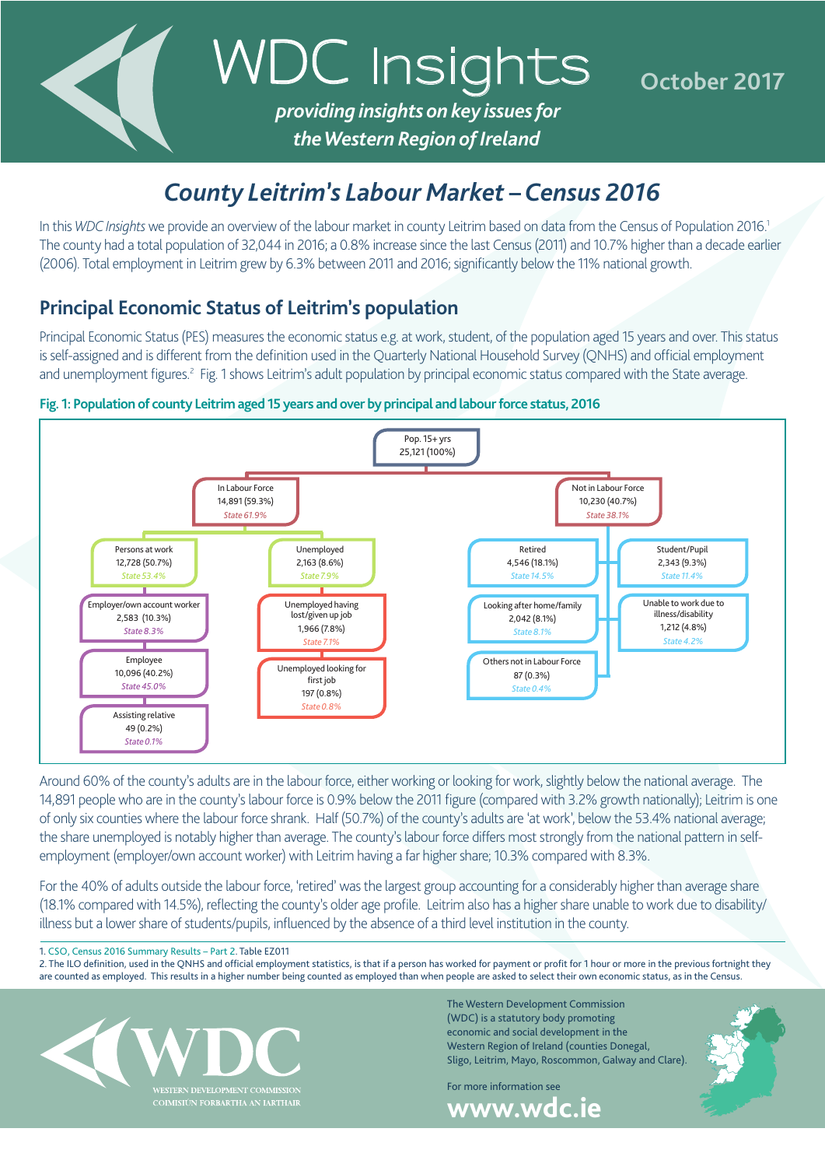

# *County Leitrim's Labour Market – Census 2016*

In this *WDC Insights* we provide an overview of the labour market in county Leitrim based on data from the Census of Population 2016.<sup>1</sup> The county had a total population of 32,044 in 2016; a 0.8% increase since the last Census (2011) and 10.7% higher than a decade earlier (2006). Total employment in Leitrim grew by 6.3% between 2011 and 2016; significantly below the 11% national growth.

## **Principal Economic Status of Leitrim's population**

Principal Economic Status (PES) measures the economic status e.g. at work, student, of the population aged 15 years and over. This status is self-assigned and is different from the definition used in the Quarterly National Household Survey (QNHS) and official employment and unemployment figures.<sup>2</sup> Fig. 1 shows Leitrim's adult population by principal economic status compared with the State average.

### **Fig. 1: Population of county Leitrim aged 15 years and over by principal and labour force status, 2016**



Around 60% of the county's adults are in the labour force, either working or looking for work, slightly below the national average. The 14,891 people who are in the county's labour force is 0.9% below the 2011 figure (compared with 3.2% growth nationally); Leitrim is one of only six counties where the labour force shrank. Half (50.7%) of the county's adults are 'at work', below the 53.4% national average; the share unemployed is notably higher than average. The county's labour force differs most strongly from the national pattern in selfemployment (employer/own account worker) with Leitrim having a far higher share; 10.3% compared with 8.3%.

For the 40% of adults outside the labour force, 'retired' was the largest group accounting for a considerably higher than average share (18.1% compared with 14.5%), reflecting the county's older age profile. Leitrim also has a higher share unable to work due to disability/ illness but a lower share of students/pupils, influenced by the absence of a third level institution in the county.

1. [CSO, Census 2016 Summary Results – Part 2.](http://www.cso.ie/en/csolatestnews/presspages/2017/census2016summaryresults-part2/) Table EZ011

2. The ILO definition, used in the QNHS and official employment statistics, is that if a person has worked for payment or profit for 1 hour or more in the previous fortnight they are counted as employed. This results in a higher number being counted as employed than when people are asked to select their own economic status, as in the Census.



The Western Development Commission (WDC) is a statutory body promoting economic and social development in the Western Region of Ireland (counties Donegal, Sligo, Leitrim, Mayo, Roscommon, Galway and Clare).

For more information see **www.wdc.ie**